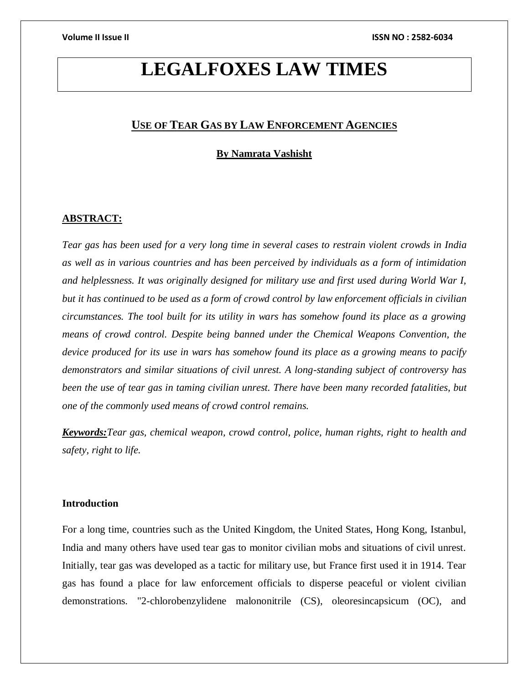# **LEGALFOXES LAW TIMES**

# **USE OF TEAR GAS BY LAW ENFORCEMENT AGENCIES**

# **By Namrata Vashisht**

# **ABSTRACT:**

*Tear gas has been used for a very long time in several cases to restrain violent crowds in India as well as in various countries and has been perceived by individuals as a form of intimidation and helplessness. It was originally designed for military use and first used during World War I, but it has continued to be used as a form of crowd control by law enforcement officials in civilian circumstances. The tool built for its utility in wars has somehow found its place as a growing means of crowd control. Despite being banned under the Chemical Weapons Convention, the device produced for its use in wars has somehow found its place as a growing means to pacify demonstrators and similar situations of civil unrest. A long-standing subject of controversy has been the use of tear gas in taming civilian unrest. There have been many recorded fatalities, but one of the commonly used means of crowd control remains.*

*Keywords:Tear gas, chemical weapon, crowd control, police, human rights, right to health and safety, right to life.*

### **Introduction**

For a long time, countries such as the United Kingdom, the United States, Hong Kong, Istanbul, India and many others have used tear gas to monitor civilian mobs and situations of civil unrest. Initially, tear gas was developed as a tactic for military use, but France first used it in 1914. Tear gas has found a place for law enforcement officials to disperse peaceful or violent civilian demonstrations. "2-chlorobenzylidene malononitrile (CS), oleoresincapsicum (OC), and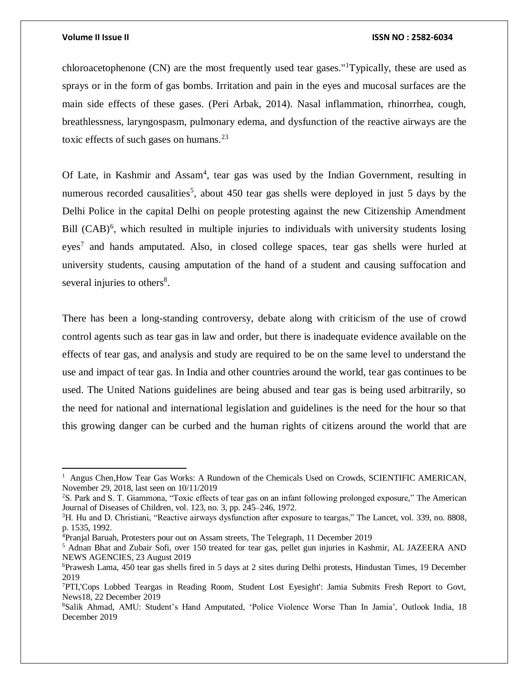$\overline{\phantom{a}}$ 

### **Volume II Issue II ISSN NO : 2582-6034**

chloroacetophenone  $(CN)$  are the most frequently used tear gases."<sup>1</sup>Typically, these are used as sprays or in the form of gas bombs. Irritation and pain in the eyes and mucosal surfaces are the main side effects of these gases. (Peri Arbak, 2014). Nasal inflammation, rhinorrhea, cough, breathlessness, laryngospasm, pulmonary edema, and dysfunction of the reactive airways are the toxic effects of such gases on humans. $^{23}$ 

Of Late, in Kashmir and Assam<sup>4</sup>, tear gas was used by the Indian Government, resulting in numerous recorded causalities<sup>5</sup>, about 450 tear gas shells were deployed in just 5 days by the Delhi Police in the capital Delhi on people protesting against the new Citizenship Amendment Bill  $(CAB)^6$ , which resulted in multiple injuries to individuals with university students losing eyes<sup>7</sup> and hands amputated. Also, in closed college spaces, tear gas shells were hurled at university students, causing amputation of the hand of a student and causing suffocation and several injuries to others<sup>8</sup>.

There has been a long-standing controversy, debate along with criticism of the use of crowd control agents such as tear gas in law and order, but there is inadequate evidence available on the effects of tear gas, and analysis and study are required to be on the same level to understand the use and impact of tear gas. In India and other countries around the world, tear gas continues to be used. The United Nations guidelines are being abused and tear gas is being used arbitrarily, so the need for national and international legislation and guidelines is the need for the hour so that this growing danger can be curbed and the human rights of citizens around the world that are

<sup>&</sup>lt;sup>1</sup> Angus Chen, How Tear Gas Works: A Rundown of the Chemicals Used on Crowds, SCIENTIFIC AMERICAN, November 29, 2018, last seen on 10/11/2019

<sup>2</sup>S. Park and S. T. Giammona, "Toxic effects of tear gas on an infant following prolonged exposure," The American Journal of Diseases of Children, vol. 123, no. 3, pp. 245–246, 1972.

<sup>3</sup>H. Hu and D. Christiani, "Reactive airways dysfunction after exposure to teargas," The Lancet, vol. 339, no. 8808, p. 1535, 1992.

<sup>4</sup>Pranjal Baruah, Protesters pour out on Assam streets, The Telegraph, 11 December 2019

<sup>5</sup> Adnan Bhat and Zubair Sofi, over 150 treated for tear gas, pellet gun injuries in Kashmir, AL JAZEERA AND NEWS AGENCIES, 23 August 2019

<sup>6</sup>Prawesh Lama, 450 tear gas shells fired in 5 days at 2 sites during Delhi protests, Hindustan Times, 19 December 2019

<sup>7</sup>PTI,'Cops Lobbed Teargas in Reading Room, Student Lost Eyesight': Jamia Submits Fresh Report to Govt, News18, 22 December 2019

<sup>8</sup>Salik Ahmad, AMU: Student's Hand Amputated, 'Police Violence Worse Than In Jamia', Outlook India, 18 December 2019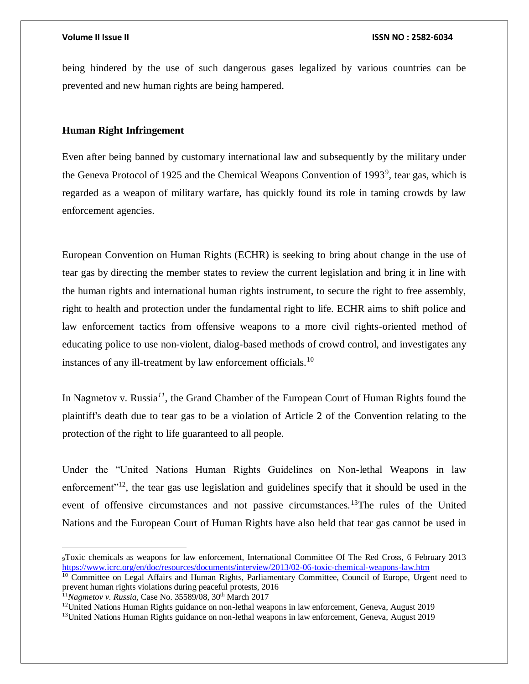being hindered by the use of such dangerous gases legalized by various countries can be prevented and new human rights are being hampered.

# **Human Right Infringement**

Even after being banned by customary international law and subsequently by the military under the Geneva Protocol of 1925 and the Chemical Weapons Convention of 1993<sup>9</sup>, tear gas, which is regarded as a weapon of military warfare, has quickly found its role in taming crowds by law enforcement agencies.

European Convention on Human Rights (ECHR) is seeking to bring about change in the use of tear gas by directing the member states to review the current legislation and bring it in line with the human rights and international human rights instrument, to secure the right to free assembly, right to health and protection under the fundamental right to life. ECHR aims to shift police and law enforcement tactics from offensive weapons to a more civil rights-oriented method of educating police to use non-violent, dialog-based methods of crowd control, and investigates any instances of any ill-treatment by law enforcement officials.<sup>10</sup>

In Nagmetov v. Russia*<sup>11</sup>*, the Grand Chamber of the European Court of Human Rights found the plaintiff's death due to tear gas to be a violation of Article 2 of the Convention relating to the protection of the right to life guaranteed to all people.

Under the "United Nations Human Rights Guidelines on Non-lethal Weapons in law enforcement<sup>"12</sup>, the tear gas use legislation and guidelines specify that it should be used in the event of offensive circumstances and not passive circumstances.<sup>13</sup>The rules of the United Nations and the European Court of Human Rights have also held that tear gas cannot be used in

 $\overline{\phantom{a}}$ 

<sup>9</sup>Toxic chemicals as weapons for law enforcement, International Committee Of The Red Cross, 6 February 2013 <https://www.icrc.org/en/doc/resources/documents/interview/2013/02-06-toxic-chemical-weapons-law.htm>

<sup>&</sup>lt;sup>10</sup> Committee on Legal Affairs and Human Rights, Parliamentary Committee, Council of Europe, Urgent need to prevent human rights violations during peaceful protests, 2016

<sup>&</sup>lt;sup>11</sup>Nagmetov v. Russia, Case No. 35589/08, 30<sup>th</sup> March 2017

<sup>&</sup>lt;sup>12</sup>United Nations Human Rights guidance on non-lethal weapons in law enforcement, Geneva, August 2019

<sup>13</sup>United Nations Human Rights guidance on non-lethal weapons in law enforcement, Geneva, August 2019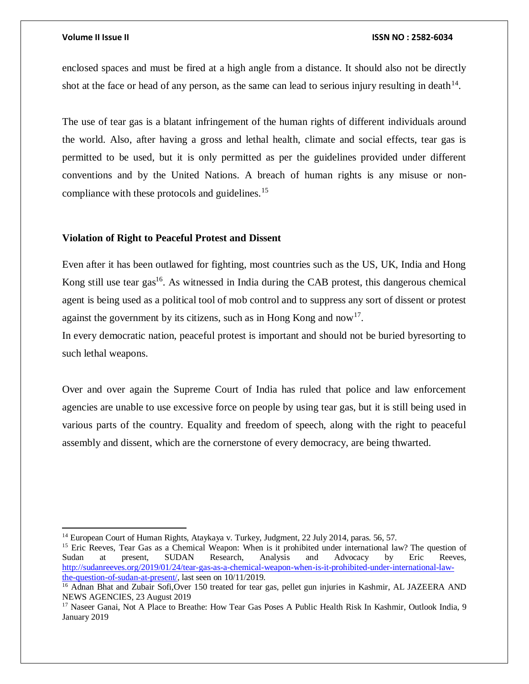$\overline{a}$ 

### **Volume II Issue II ISSN NO : 2582-6034**

enclosed spaces and must be fired at a high angle from a distance. It should also not be directly shot at the face or head of any person, as the same can lead to serious injury resulting in death $14$ .

The use of tear gas is a blatant infringement of the human rights of different individuals around the world. Also, after having a gross and lethal health, climate and social effects, tear gas is permitted to be used, but it is only permitted as per the guidelines provided under different conventions and by the United Nations. A breach of human rights is any misuse or noncompliance with these protocols and guidelines.<sup>15</sup>

# **Violation of Right to Peaceful Protest and Dissent**

Even after it has been outlawed for fighting, most countries such as the US, UK, India and Hong Kong still use tear gas<sup>16</sup>. As witnessed in India during the CAB protest, this dangerous chemical agent is being used as a political tool of mob control and to suppress any sort of dissent or protest against the government by its citizens, such as in Hong Kong and now<sup>17</sup>.

In every democratic nation, peaceful protest is important and should not be buried byresorting to such lethal weapons.

Over and over again the Supreme Court of India has ruled that police and law enforcement agencies are unable to use excessive force on people by using tear gas, but it is still being used in various parts of the country. Equality and freedom of speech, along with the right to peaceful assembly and dissent, which are the cornerstone of every democracy, are being thwarted.

<sup>&</sup>lt;sup>14</sup> European Court of Human Rights, Ataykaya v. Turkey, Judgment, 22 July 2014, paras. 56, 57.

<sup>&</sup>lt;sup>15</sup> Eric Reeves, Tear Gas as a Chemical Weapon: When is it prohibited under international law? The question of Sudan at present, SUDAN Research, Analysis and Advocacy by Eric Reeves, [http://sudanreeves.org/2019/01/24/tear-gas-as-a-chemical-weapon-when-is-it-prohibited-under-international-law](http://sudanreeves.org/2019/01/24/tear-gas-as-a-chemical-weapon-when-is-it-prohibited-under-international-law-the-question-of-sudan-at-present/)[the-question-of-sudan-at-present/,](http://sudanreeves.org/2019/01/24/tear-gas-as-a-chemical-weapon-when-is-it-prohibited-under-international-law-the-question-of-sudan-at-present/) last seen on 10/11/2019.

<sup>&</sup>lt;sup>16</sup> Adnan Bhat and Zubair Sofi, Over 150 treated for tear gas, pellet gun injuries in Kashmir, AL JAZEERA AND NEWS AGENCIES, 23 August 2019

<sup>&</sup>lt;sup>17</sup> Naseer Ganai, Not A Place to Breathe: How Tear Gas Poses A Public Health Risk In Kashmir, Outlook India, 9 January 2019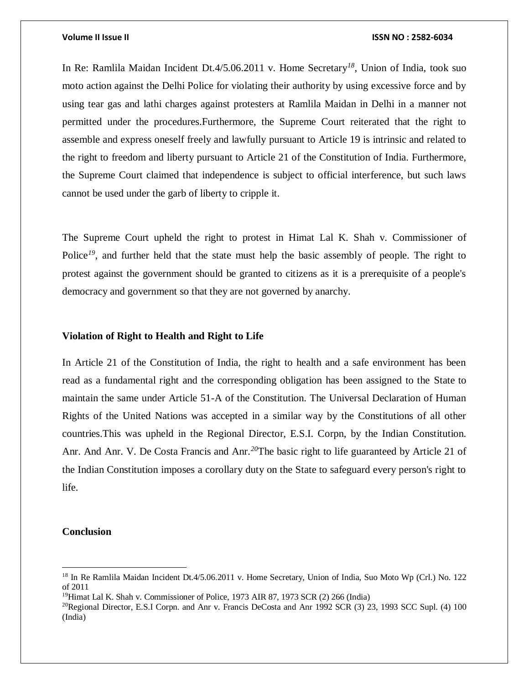### **Volume II Issue II ISSN NO : 2582-6034**

In Re: Ramlila Maidan Incident Dt.4/5.06.2011 v. Home Secretary*<sup>18</sup>*, Union of India, took suo moto action against the Delhi Police for violating their authority by using excessive force and by using tear gas and lathi charges against protesters at Ramlila Maidan in Delhi in a manner not permitted under the procedures.Furthermore, the Supreme Court reiterated that the right to assemble and express oneself freely and lawfully pursuant to Article 19 is intrinsic and related to the right to freedom and liberty pursuant to Article 21 of the Constitution of India. Furthermore, the Supreme Court claimed that independence is subject to official interference, but such laws cannot be used under the garb of liberty to cripple it.

The Supreme Court upheld the right to protest in Himat Lal K. Shah v. Commissioner of Police<sup>19</sup>, and further held that the state must help the basic assembly of people. The right to protest against the government should be granted to citizens as it is a prerequisite of a people's democracy and government so that they are not governed by anarchy.

### **Violation of Right to Health and Right to Life**

In Article 21 of the Constitution of India, the right to health and a safe environment has been read as a fundamental right and the corresponding obligation has been assigned to the State to maintain the same under Article 51-A of the Constitution. The Universal Declaration of Human Rights of the United Nations was accepted in a similar way by the Constitutions of all other countries.This was upheld in the Regional Director, E.S.I. Corpn, by the Indian Constitution. Anr. And Anr. V. De Costa Francis and Anr.*<sup>20</sup>*The basic right to life guaranteed by Article 21 of the Indian Constitution imposes a corollary duty on the State to safeguard every person's right to life.

# **Conclusion**

 $\overline{\phantom{a}}$ 

<sup>18</sup> In Re Ramlila Maidan Incident Dt.4/5.06.2011 v. Home Secretary, Union of India, Suo Moto Wp (Crl.) No. 122 of 2011

<sup>&</sup>lt;sup>19</sup>Himat Lal K. Shah v. Commissioner of Police, 1973 AIR 87, 1973 SCR  $(2)$  266 (India)

<sup>&</sup>lt;sup>20</sup>Regional Director, E.S.I Corpn. and Anr v. Francis DeCosta and Anr 1992 SCR (3) 23, 1993 SCC Supl. (4) 100 (India)